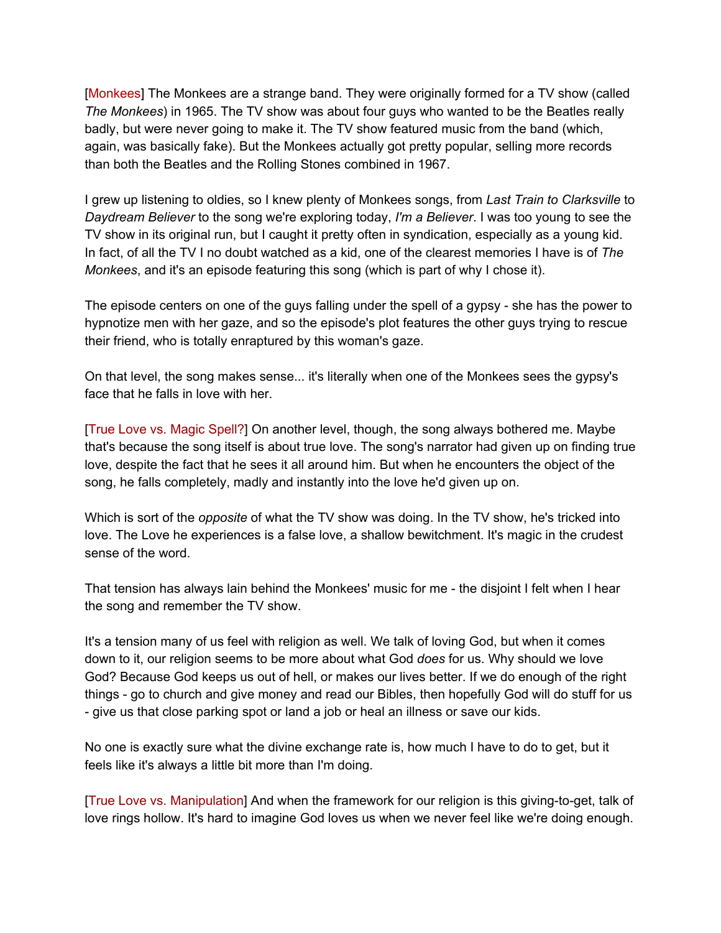[Monkees] The Monkees are a strange band. They were originally formed for a TV show (called *The Monkees*) in 1965. The TV show was about four guys who wanted to be the Beatles really badly, but were never going to make it. The TV show featured music from the band (which, again, was basically fake). But the Monkees actually got pretty popular, selling more records than both the Beatles and the Rolling Stones combined in 1967.

I grew up listening to oldies, so I knew plenty of Monkees songs, from *Last Train to Clarksville* to *Daydream Believer* to the song we're exploring today, *I'm a Believer*. I was too young to see the TV show in its original run, but I caught it pretty often in syndication, especially as a young kid. In fact, of all the TV I no doubt watched as a kid, one of the clearest memories I have is of *The Monkees*, and it's an episode featuring this song (which is part of why I chose it).

The episode centers on one of the guys falling under the spell of a gypsy - she has the power to hypnotize men with her gaze, and so the episode's plot features the other guys trying to rescue their friend, who is totally enraptured by this woman's gaze.

On that level, the song makes sense... it's literally when one of the Monkees sees the gypsy's face that he falls in love with her.

[True Love vs. Magic Spell?] On another level, though, the song always bothered me. Maybe that's because the song itself is about true love. The song's narrator had given up on finding true love, despite the fact that he sees it all around him. But when he encounters the object of the song, he falls completely, madly and instantly into the love he'd given up on.

Which is sort of the *opposite* of what the TV show was doing. In the TV show, he's tricked into love. The Love he experiences is a false love, a shallow bewitchment. It's magic in the crudest sense of the word.

That tension has always lain behind the Monkees' music for me - the disjoint I felt when I hear the song and remember the TV show.

It's a tension many of us feel with religion as well. We talk of loving God, but when it comes down to it, our religion seems to be more about what God *does* for us. Why should we love God? Because God keeps us out of hell, or makes our lives better. If we do enough of the right things - go to church and give money and read our Bibles, then hopefully God will do stuff for us give us that close parking spot or land a job or heal an illness or save our kids.

No one is exactly sure what the divine exchange rate is, how much I have to do to get, but it feels like it's always a little bit more than I'm doing.

[True Love vs. Manipulation] And when the framework for our religion is this giving-to-get, talk of love rings hollow. It's hard to imagine God loves us when we never feel like we're doing enough.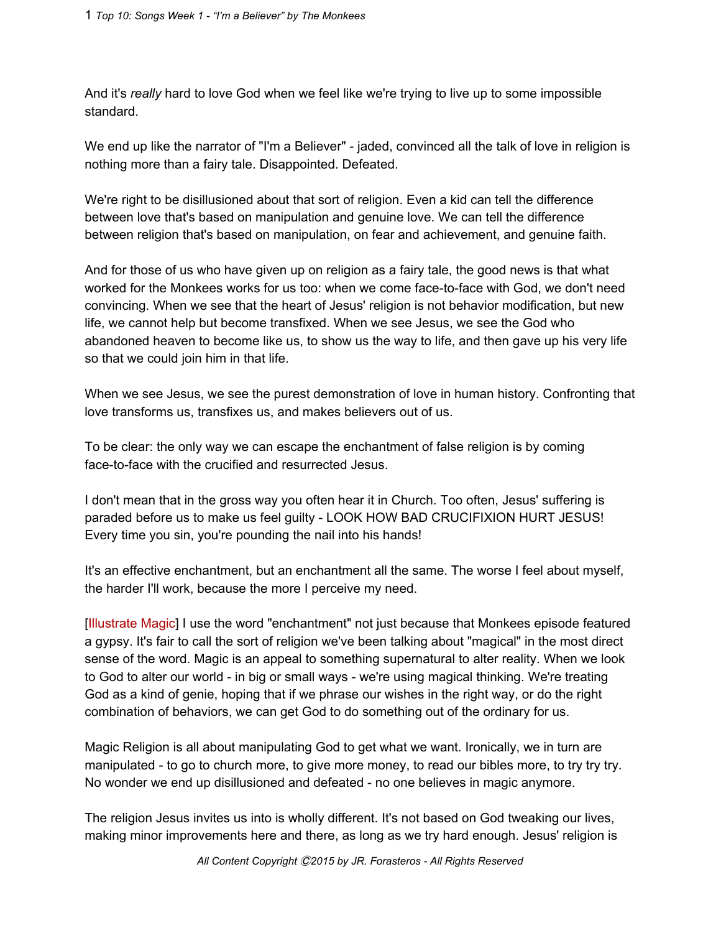And it's *really* hard to love God when we feel like we're trying to live up to some impossible standard.

We end up like the narrator of "I'm a Believer" - jaded, convinced all the talk of love in religion is nothing more than a fairy tale. Disappointed. Defeated.

We're right to be disillusioned about that sort of religion. Even a kid can tell the difference between love that's based on manipulation and genuine love. We can tell the difference between religion that's based on manipulation, on fear and achievement, and genuine faith.

And for those of us who have given up on religion as a fairy tale, the good news is that what worked for the Monkees works for us too: when we come face-to-face with God, we don't need convincing. When we see that the heart of Jesus' religion is not behavior modification, but new life, we cannot help but become transfixed. When we see Jesus, we see the God who abandoned heaven to become like us, to show us the way to life, and then gave up his very life so that we could join him in that life.

When we see Jesus, we see the purest demonstration of love in human history. Confronting that love transforms us, transfixes us, and makes believers out of us.

To be clear: the only way we can escape the enchantment of false religion is by coming face-to-face with the crucified and resurrected Jesus.

I don't mean that in the gross way you often hear it in Church. Too often, Jesus' suffering is paraded before us to make us feel guilty - LOOK HOW BAD CRUCIFIXION HURT JESUS! Every time you sin, you're pounding the nail into his hands!

It's an effective enchantment, but an enchantment all the same. The worse I feel about myself, the harder I'll work, because the more I perceive my need.

[Illustrate Magic] I use the word "enchantment" not just because that Monkees episode featured a gypsy. It's fair to call the sort of religion we've been talking about "magical" in the most direct sense of the word. Magic is an appeal to something supernatural to alter reality. When we look to God to alter our world - in big or small ways - we're using magical thinking. We're treating God as a kind of genie, hoping that if we phrase our wishes in the right way, or do the right combination of behaviors, we can get God to do something out of the ordinary for us.

Magic Religion is all about manipulating God to get what we want. Ironically, we in turn are manipulated - to go to church more, to give more money, to read our bibles more, to try try try. No wonder we end up disillusioned and defeated - no one believes in magic anymore.

The religion Jesus invites us into is wholly different. It's not based on God tweaking our lives, making minor improvements here and there, as long as we try hard enough. Jesus' religion is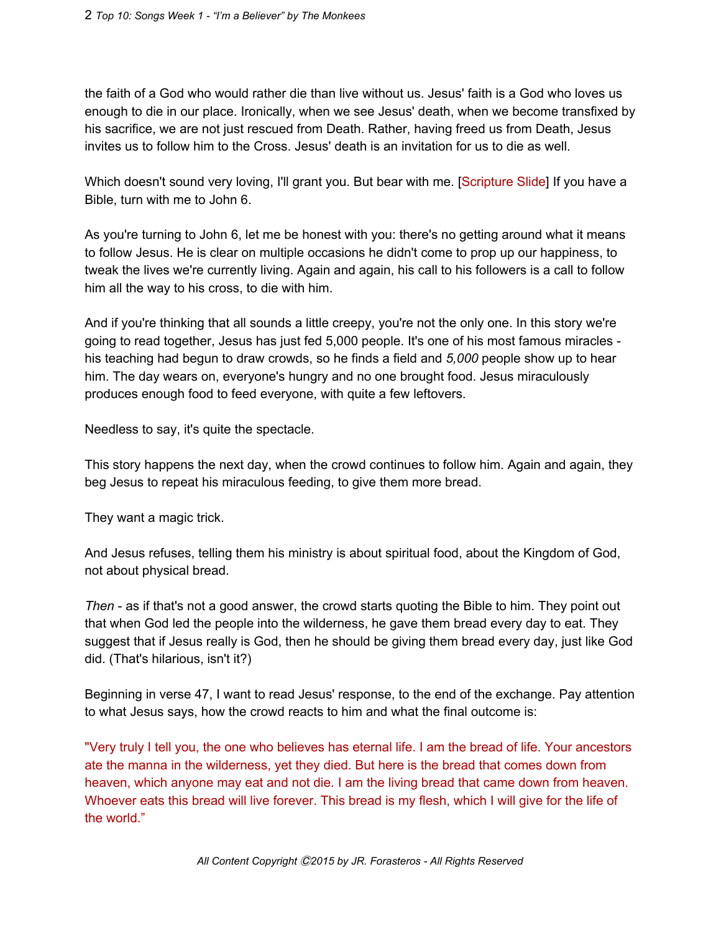the faith of a God who would rather die than live without us. Jesus' faith is a God who loves us enough to die in our place. Ironically, when we see Jesus' death, when we become transfixed by his sacrifice, we are not just rescued from Death. Rather, having freed us from Death, Jesus invites us to follow him to the Cross. Jesus' death is an invitation for us to die as well.

Which doesn't sound very loving, I'll grant you. But bear with me. [Scripture Slide] If you have a Bible, turn with me to John 6.

As you're turning to John 6, let me be honest with you: there's no getting around what it means to follow Jesus. He is clear on multiple occasions he didn't come to prop up our happiness, to tweak the lives we're currently living. Again and again, his call to his followers is a call to follow him all the way to his cross, to die with him.

And if you're thinking that all sounds a little creepy, you're not the only one. In this story we're going to read together, Jesus has just fed 5,000 people. It's one of his most famous miracles his teaching had begun to draw crowds, so he finds a field and *5,000* people show up to hear him. The day wears on, everyone's hungry and no one brought food. Jesus miraculously produces enough food to feed everyone, with quite a few leftovers.

Needless to say, it's quite the spectacle.

This story happens the next day, when the crowd continues to follow him. Again and again, they beg Jesus to repeat his miraculous feeding, to give them more bread.

They want a magic trick.

And Jesus refuses, telling them his ministry is about spiritual food, about the Kingdom of God, not about physical bread.

*Then* - as if that's not a good answer, the crowd starts quoting the Bible to him. They point out that when God led the people into the wilderness, he gave them bread every day to eat. They suggest that if Jesus really is God, then he should be giving them bread every day, just like God did. (That's hilarious, isn't it?)

Beginning in verse 47, I want to read Jesus' response, to the end of the exchange. Pay attention to what Jesus says, how the crowd reacts to him and what the final outcome is:

"Very truly I tell you, the one who believes has eternal life. I am the bread of life. Your ancestors ate the manna in the wilderness, yet they died. But here is the bread that comes down from heaven, which anyone may eat and not die. I am the living bread that came down from heaven. Whoever eats this bread will live forever. This bread is my flesh, which I will give for the life of the world."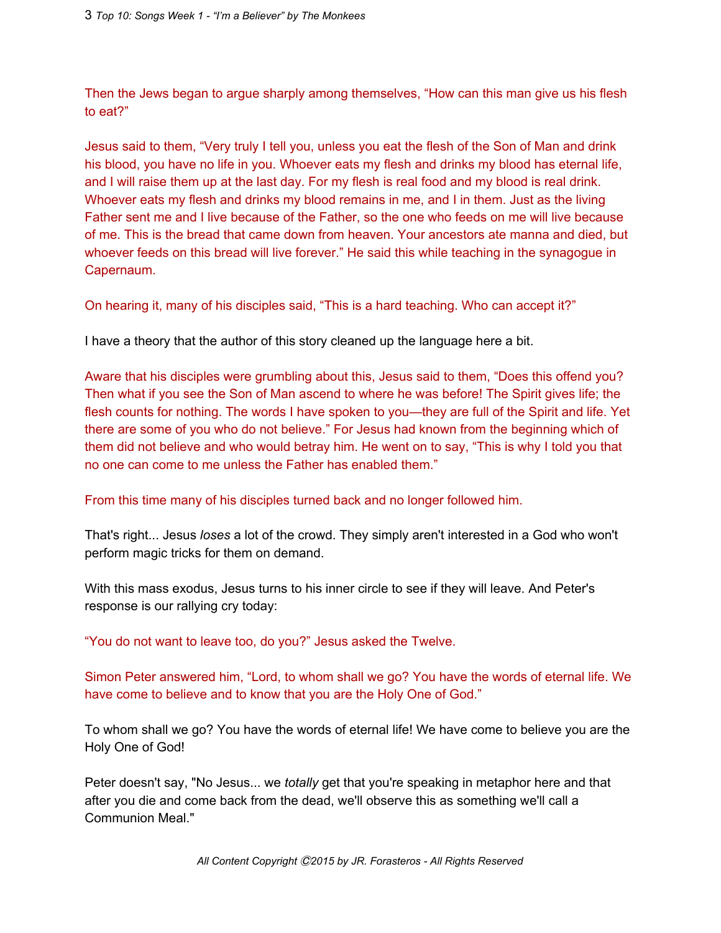Then the Jews began to argue sharply among themselves, "How can this man give us his flesh to eat?"

Jesus said to them, "Very truly I tell you, unless you eat the flesh of the Son of Man and drink his blood, you have no life in you. Whoever eats my flesh and drinks my blood has eternal life, and I will raise them up at the last day. For my flesh is real food and my blood is real drink. Whoever eats my flesh and drinks my blood remains in me, and I in them. Just as the living Father sent me and I live because of the Father, so the one who feeds on me will live because of me. This is the bread that came down from heaven. Your ancestors ate manna and died, but whoever feeds on this bread will live forever." He said this while teaching in the synagogue in Capernaum.

On hearing it, many of his disciples said, "This is a hard teaching. Who can accept it?"

I have a theory that the author of this story cleaned up the language here a bit.

Aware that his disciples were grumbling about this, Jesus said to them, "Does this offend you? Then what if you see the Son of Man ascend to where he was before! The Spirit gives life; the flesh counts for nothing. The words I have spoken to you—they are full of the Spirit and life. Yet there are some of you who do not believe." For Jesus had known from the beginning which of them did not believe and who would betray him. He went on to say, "This is why I told you that no one can come to me unless the Father has enabled them."

From this time many of his disciples turned back and no longer followed him.

That's right... Jesus *loses* a lot of the crowd. They simply aren't interested in a God who won't perform magic tricks for them on demand.

With this mass exodus, Jesus turns to his inner circle to see if they will leave. And Peter's response is our rallying cry today:

"You do not want to leave too, do you?" Jesus asked the Twelve.

Simon Peter answered him, "Lord, to whom shall we go? You have the words of eternal life. We have come to believe and to know that you are the Holy One of God."

To whom shall we go? You have the words of eternal life! We have come to believe you are the Holy One of God!

Peter doesn't say, "No Jesus... we *totally* get that you're speaking in metaphor here and that after you die and come back from the dead, we'll observe this as something we'll call a Communion Meal."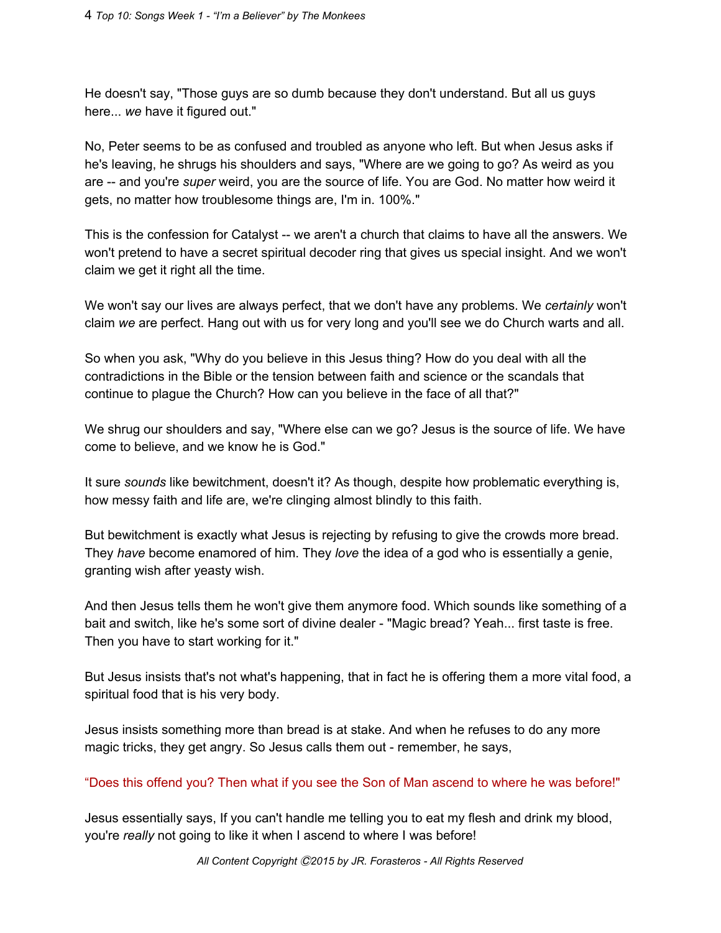He doesn't say, "Those guys are so dumb because they don't understand. But all us guys here... *we* have it figured out."

No, Peter seems to be as confused and troubled as anyone who left. But when Jesus asks if he's leaving, he shrugs his shoulders and says, "Where are we going to go? As weird as you are and you're *super* weird, you are the source of life. You are God. No matter how weird it gets, no matter how troublesome things are, I'm in. 100%."

This is the confession for Catalyst -- we aren't a church that claims to have all the answers. We won't pretend to have a secret spiritual decoder ring that gives us special insight. And we won't claim we get it right all the time.

We won't say our lives are always perfect, that we don't have any problems. We *certainly* won't claim *we* are perfect. Hang out with us for very long and you'll see we do Church warts and all.

So when you ask, "Why do you believe in this Jesus thing? How do you deal with all the contradictions in the Bible or the tension between faith and science or the scandals that continue to plague the Church? How can you believe in the face of all that?"

We shrug our shoulders and say, "Where else can we go? Jesus is the source of life. We have come to believe, and we know he is God."

It sure *sounds* like bewitchment, doesn't it? As though, despite how problematic everything is, how messy faith and life are, we're clinging almost blindly to this faith.

But bewitchment is exactly what Jesus is rejecting by refusing to give the crowds more bread. They *have* become enamored of him. They *love* the idea of a god who is essentially a genie, granting wish after yeasty wish.

And then Jesus tells them he won't give them anymore food. Which sounds like something of a bait and switch, like he's some sort of divine dealer "Magic bread? Yeah... first taste is free. Then you have to start working for it."

But Jesus insists that's not what's happening, that in fact he is offering them a more vital food, a spiritual food that is his very body.

Jesus insists something more than bread is at stake. And when he refuses to do any more magic tricks, they get angry. So Jesus calls them out - remember, he says,

"Does this offend you? Then what if you see the Son of Man ascend to where he was before!"

Jesus essentially says, If you can't handle me telling you to eat my flesh and drink my blood, you're *really* not going to like it when I ascend to where I was before!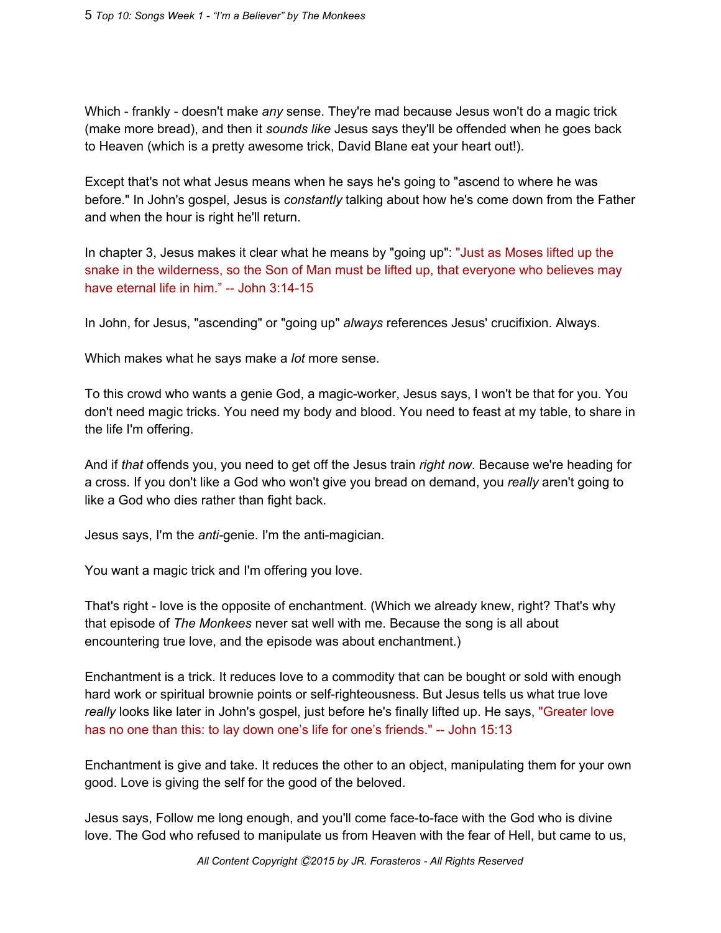Which - frankly - doesn't make *any* sense. They're mad because Jesus won't do a magic trick (make more bread), and then it *sounds like* Jesus says they'll be offended when he goes back to Heaven (which is a pretty awesome trick, David Blane eat your heart out!).

Except that's not what Jesus means when he says he's going to "ascend to where he was before." In John's gospel, Jesus is *constantly* talking about how he's come down from the Father and when the hour is right he'll return.

In chapter 3, Jesus makes it clear what he means by "going up": "Just as Moses lifted up the snake in the wilderness, so the Son of Man must be lifted up, that everyone who believes may have eternal life in him." -- John 3:14-15

In John, for Jesus, "ascending" or "going up" *always* references Jesus' crucifixion. Always.

Which makes what he says make a *lot* more sense.

To this crowd who wants a genie God, a magicworker, Jesus says, I won't be that for you. You don't need magic tricks. You need my body and blood. You need to feast at my table, to share in the life I'm offering.

And if *that* offends you, you need to get off the Jesus train *right now*. Because we're heading for a cross. If you don't like a God who won't give you bread on demand, you *really* aren't going to like a God who dies rather than fight back.

Jesus says, I'm the *anti-*genie. I'm the anti-magician.

You want a magic trick and I'm offering you love.

That's right - love is the opposite of enchantment. (Which we already knew, right? That's why that episode of *The Monkees* never sat well with me. Because the song is all about encountering true love, and the episode was about enchantment.)

Enchantment is a trick. It reduces love to a commodity that can be bought or sold with enough hard work or spiritual brownie points or self-righteousness. But Jesus tells us what true love *really* looks like later in John's gospel, just before he's finally lifted up. He says, "Greater love has no one than this: to lay down one's life for one's friends." -- John 15:13

Enchantment is give and take. It reduces the other to an object, manipulating them for your own good. Love is giving the self for the good of the beloved.

Jesus says, Follow me long enough, and you'll come face-to-face with the God who is divine love. The God who refused to manipulate us from Heaven with the fear of Hell, but came to us,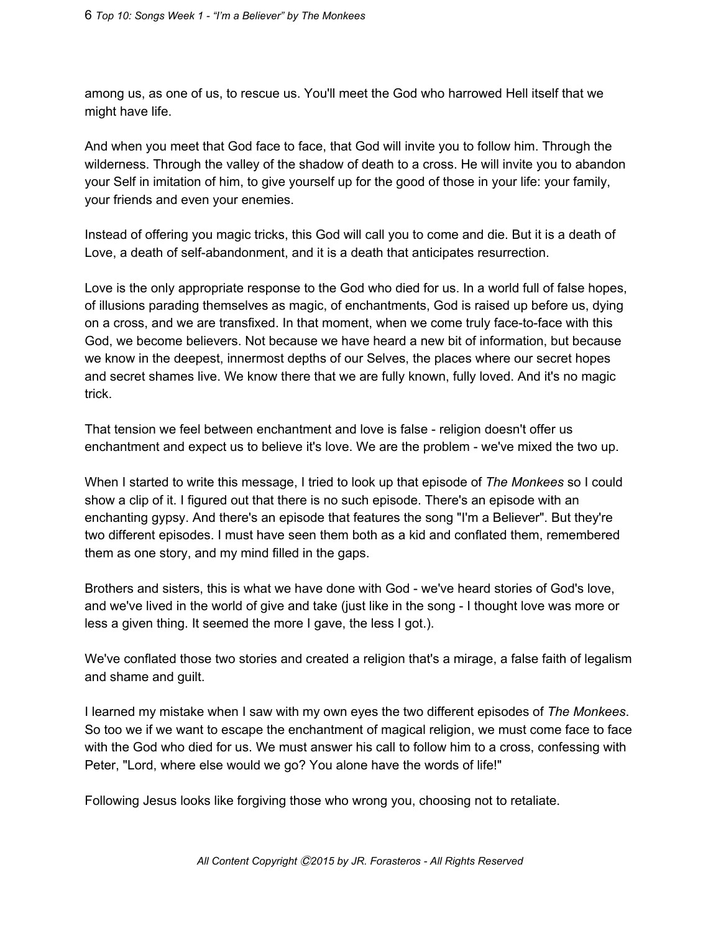among us, as one of us, to rescue us. You'll meet the God who harrowed Hell itself that we might have life.

And when you meet that God face to face, that God will invite you to follow him. Through the wilderness. Through the valley of the shadow of death to a cross. He will invite you to abandon your Self in imitation of him, to give yourself up for the good of those in your life: your family, your friends and even your enemies.

Instead of offering you magic tricks, this God will call you to come and die. But it is a death of Love, a death of self-abandonment, and it is a death that anticipates resurrection.

Love is the only appropriate response to the God who died for us. In a world full of false hopes, of illusions parading themselves as magic, of enchantments, God is raised up before us, dying on a cross, and we are transfixed. In that moment, when we come truly face-to-face with this God, we become believers. Not because we have heard a new bit of information, but because we know in the deepest, innermost depths of our Selves, the places where our secret hopes and secret shames live. We know there that we are fully known, fully loved. And it's no magic trick.

That tension we feel between enchantment and love is false religion doesn't offer us enchantment and expect us to believe it's love. We are the problem - we've mixed the two up.

When I started to write this message, I tried to look up that episode of *The Monkees* so I could show a clip of it. I figured out that there is no such episode. There's an episode with an enchanting gypsy. And there's an episode that features the song "I'm a Believer". But they're two different episodes. I must have seen them both as a kid and conflated them, remembered them as one story, and my mind filled in the gaps.

Brothers and sisters, this is what we have done with God - we've heard stories of God's love, and we've lived in the world of give and take (just like in the song - I thought love was more or less a given thing. It seemed the more I gave, the less I got.).

We've conflated those two stories and created a religion that's a mirage, a false faith of legalism and shame and guilt.

I learned my mistake when I saw with my own eyes the two different episodes of *The Monkees*. So too we if we want to escape the enchantment of magical religion, we must come face to face with the God who died for us. We must answer his call to follow him to a cross, confessing with Peter, "Lord, where else would we go? You alone have the words of life!"

Following Jesus looks like forgiving those who wrong you, choosing not to retaliate.